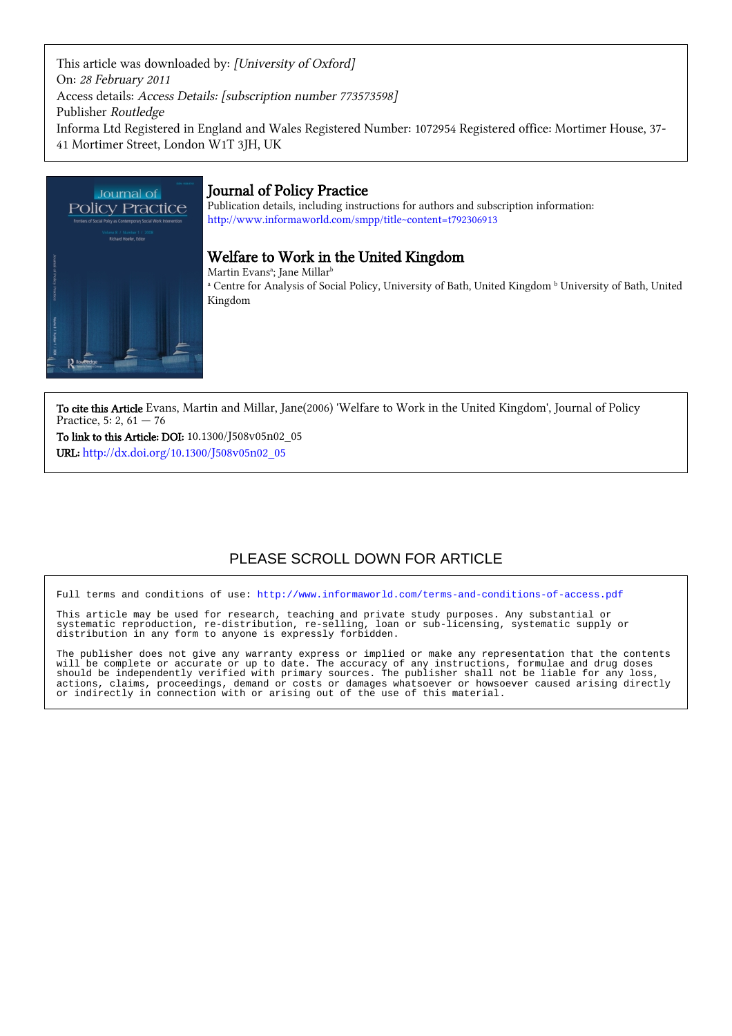This article was downloaded by: [University of Oxford] On: 28 February 2011 Access details: Access Details: [subscription number 773573598] Publisher Routledge Informa Ltd Registered in England and Wales Registered Number: 1072954 Registered office: Mortimer House, 37- 41 Mortimer Street, London W1T 3JH, UK



## Journal of Policy Practice

Publication details, including instructions for authors and subscription information: <http://www.informaworld.com/smpp/title~content=t792306913>

## Welfare to Work in the United Kingdom

Martin Evansª; Jane Millar<sup>ь</sup> <sup>a</sup> Centre for Analysis of Social Policy, University of Bath, United Kingdom <sup>b</sup> University of Bath, United Kingdom

To cite this Article Evans, Martin and Millar, Jane(2006) 'Welfare to Work in the United Kingdom', Journal of Policy Practice, 5: 2,  $61 - 76$ 

To link to this Article: DOI: 10.1300/J508v05n02\_05 URL: [http://dx.doi.org/10.1300/J508v05n02\\_05](http://dx.doi.org/10.1300/J508v05n02_05)

# PLEASE SCROLL DOWN FOR ARTICLE

Full terms and conditions of use:<http://www.informaworld.com/terms-and-conditions-of-access.pdf>

This article may be used for research, teaching and private study purposes. Any substantial or systematic reproduction, re-distribution, re-selling, loan or sub-licensing, systematic supply or distribution in any form to anyone is expressly forbidden.

The publisher does not give any warranty express or implied or make any representation that the contents will be complete or accurate or up to date. The accuracy of any instructions, formulae and drug doses should be independently verified with primary sources. The publisher shall not be liable for any loss, actions, claims, proceedings, demand or costs or damages whatsoever or howsoever caused arising directly or indirectly in connection with or arising out of the use of this material.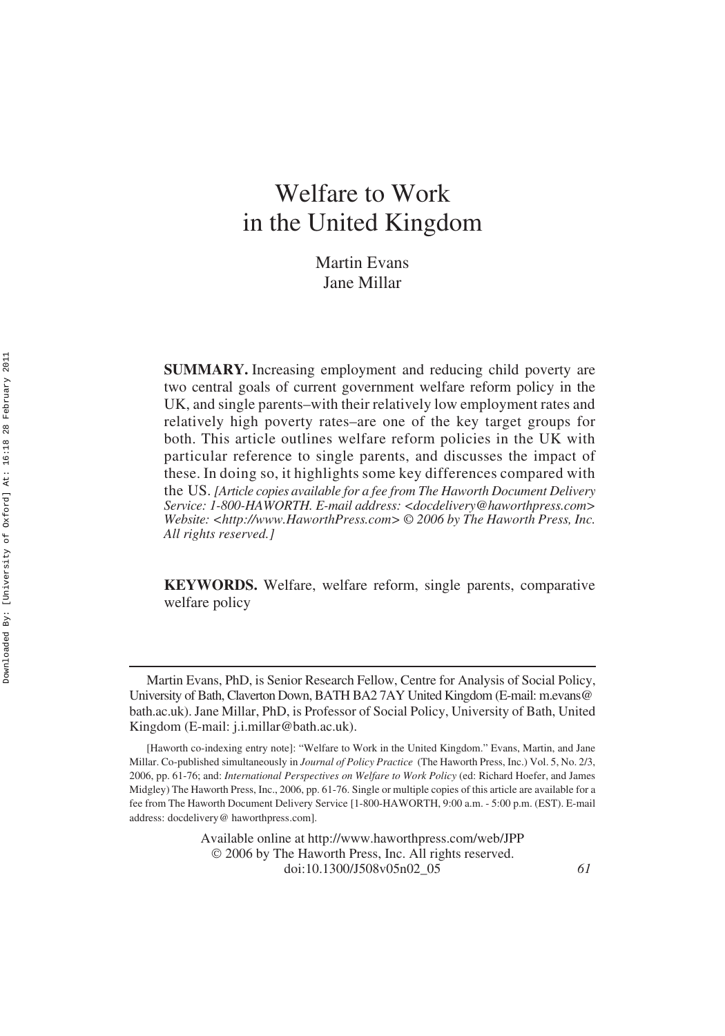# Welfare to Work in the United Kingdom

Martin Evans Jane Millar

**SUMMARY.** Increasing employment and reducing child poverty are two central goals of current government welfare reform policy in the UK, and single parents–with their relatively low employment rates and relatively high poverty rates–are one of the key target groups for both. This article outlines welfare reform policies in the UK with particular reference to single parents, and discusses the impact of these. In doing so, it highlights some key differences compared with the US. *[Article copies available for a fee from The Haworth Document Delivery Service: 1-800-HAWORTH. E-mail address: <docdelivery@haworthpress.com> Website: <http://www.HaworthPress.com> © 2006 by The Haworth Press, Inc. All rights reserved.]*

**KEYWORDS.** Welfare, welfare reform, single parents, comparative welfare policy

Available online at http://www.haworthpress.com/web/JPP © 2006 by The Haworth Press, Inc. All rights reserved. doi:10.1300/J508v05n02\_05 *61*

Martin Evans, PhD, is Senior Research Fellow, Centre for Analysis of Social Policy, University of Bath, Claverton Down, BATH BA2 7AY United Kingdom (E-mail: m.evans@ bath.ac.uk). Jane Millar, PhD, is Professor of Social Policy, University of Bath, United Kingdom (E-mail: j.i.millar@bath.ac.uk).

<sup>[</sup>Haworth co-indexing entry note]: "Welfare to Work in the United Kingdom." Evans, Martin, and Jane Millar. Co-published simultaneously in *Journal of Policy Practice* (The Haworth Press, Inc.) Vol. 5, No. 2/3, 2006, pp. 61-76; and: *International Perspectives on Welfare to Work Policy* (ed: Richard Hoefer, and James Midgley) The Haworth Press, Inc., 2006, pp. 61-76. Single or multiple copies of this article are available for a fee from The Haworth Document Delivery Service [1-800-HAWORTH, 9:00 a.m. - 5:00 p.m. (EST). E-mail address: docdelivery@ haworthpress.com].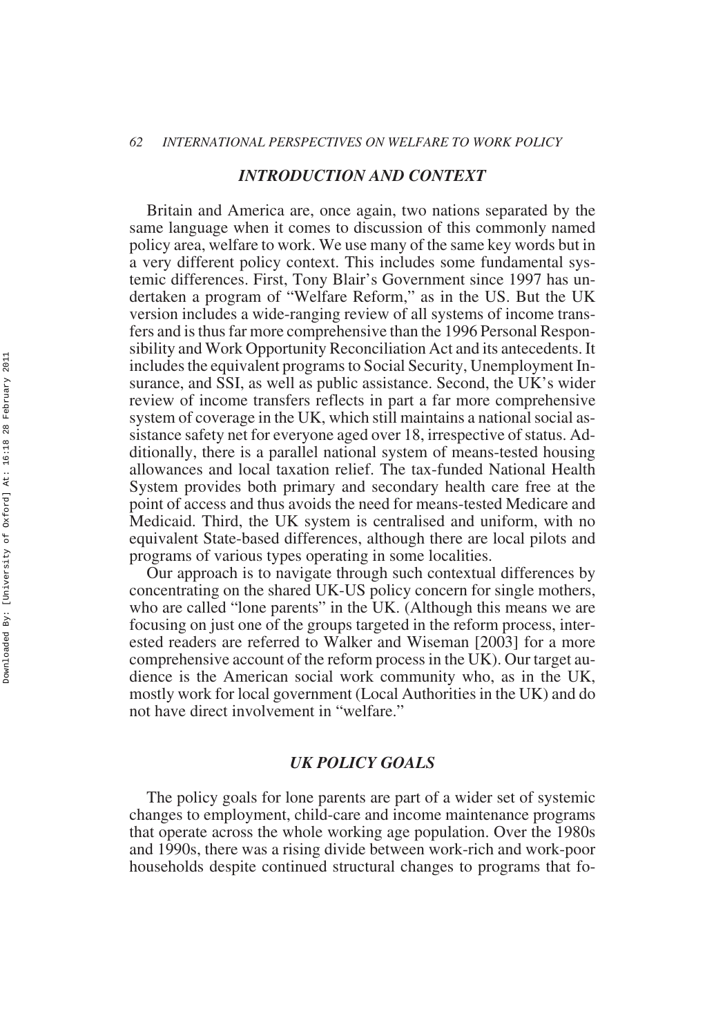### *INTRODUCTION AND CONTEXT*

Britain and America are, once again, two nations separated by the same language when it comes to discussion of this commonly named policy area, welfare to work. We use many of the same key words but in a very different policy context. This includes some fundamental sys temic differences. First, Tony Blair's Government since 1997 has un dertaken a program of "Welfare Reform," as in the US. But the UK version includes a wide-ranging review of all systems of income trans fers and is thus far more comprehensive than the 1996 Personal Respon sibility and Work Opportunity Reconciliation Act and its antecedents. It includes the equivalent programs to Social Security, Unemployment In surance, and SSI, as well as public assistance. Second, the UK's wider review of income transfers reflects in part a far more comprehensive system of coverage in the UK, which still maintains a national social assistance safety net for everyone aged over 18, irrespective of status. Additionally, there is a parallel national system of means-tested housing allowances and local taxation relief. The tax-funded National Health System provides both primary and secondary health care free at the point of access and thus avoids the need for means-tested Medicare and Medicaid. Third, the UK system is centralised and uniform, with no equivalent State-based differences, although there are local pilots and programs of various types operating in some localities.

Our approach is to navigate through such contextual differences by concentrating on the shared UK-US policy concern for single mothers, who are called "lone parents" in the UK. (Although this means we are focusing on just one of the groups targeted in the reform process, inter ested readers are referred to Walker and Wiseman [2003] for a more comprehensive account of the reform process in the UK). Our target au dience is the American social work community who, as in the UK, mostly work for local government (Local Authorities in the UK) and do not have direct involvement in "welfare."

## *UK POLICY GOALS*

The policy goals for lone parents are part of a wider set of systemic changes to employment, child-care and income maintenance programs that operate across the whole working age population. Over the 1980s and 1990s, there was a rising divide between work-rich and work-poor households despite continued structural changes to programs that fo -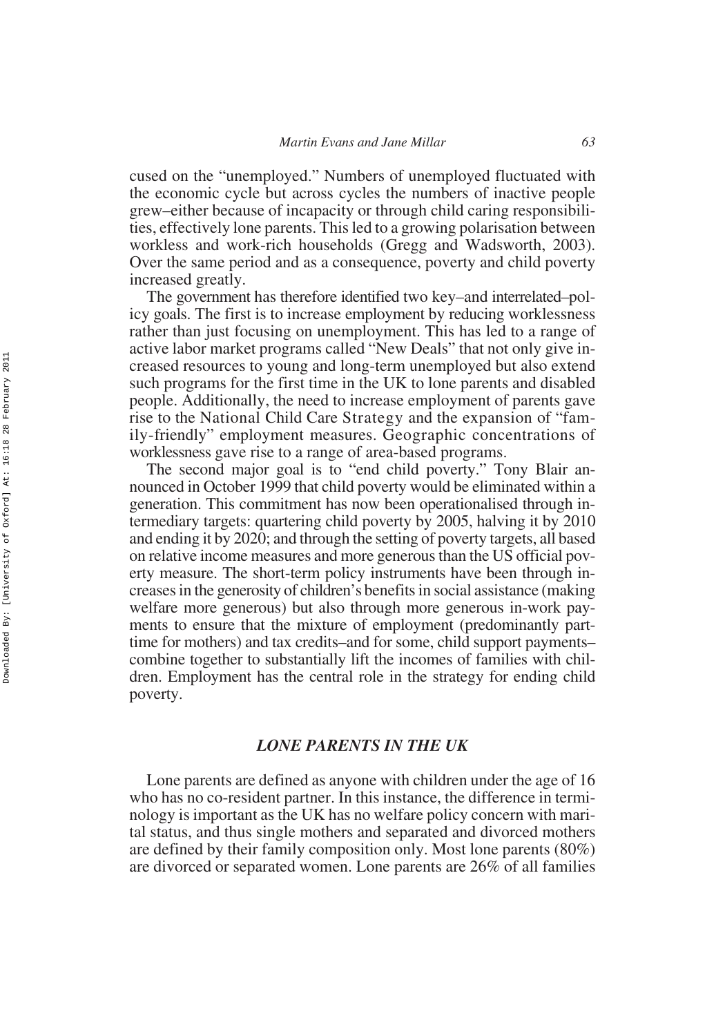cused on the "unemployed." Numbers of unemployed fluctuated with the economic cycle but across cycles the numbers of inactive people grew–either because of incapacity or through child caring responsibili ties, effectively lone parents. This led to a growing polarisation between workless and work-rich households (Gregg and Wadsworth, 2003). Over the same period and as a consequence, poverty and child poverty increased greatly.

The government has therefore identified two key–and interrelated–pol icy goals. The first is to increase employment by reducing worklessness rather than just focusing on unemployment. This has led to a range of active labor market programs called "New Deals" that not only give in creased resources to young and long-term unemployed but also extend such programs for the first time in the UK to lone parents and disabled people. Additionally, the need to increase employment of parents gave rise to the National Child Care Strategy and the expansion of "family-friendly" employment measures. Geographic concentrations of worklessness gave rise to a range of area-based programs.

The second major goal is to "end child poverty." Tony Blair announced in October 1999 that child poverty would be eliminated within a generation. This commitment has now been operationalised through intermediary targets: quartering child poverty by 2005, halving it by 2010 and ending it by 2020; and through the setting of poverty targets, all based on relative income measures and more generous than the US official poverty measure. The short-term policy instruments have been through increases in the generosity of children's benefits in social assistance (making welfare more generous) but also through more generous in-work payments to ensure that the mixture of employment (predominantly parttime for mothers) and tax credits–and for some, child support payments– combine together to substantially lift the incomes of families with chil dren. Employment has the central role in the strategy for ending child poverty.

## *LONE PARENTS IN THE UK*

Lone parents are defined as anyone with children under the age of 16 who has no co-resident partner. In this instance, the difference in terminology is important as the UK has no welfare policy concern with mari tal status, and thus single mothers and separated and divorced mothers are defined by their family composition only. Most lone parents (80%) are divorced or separated women. Lone parents are 26% of all families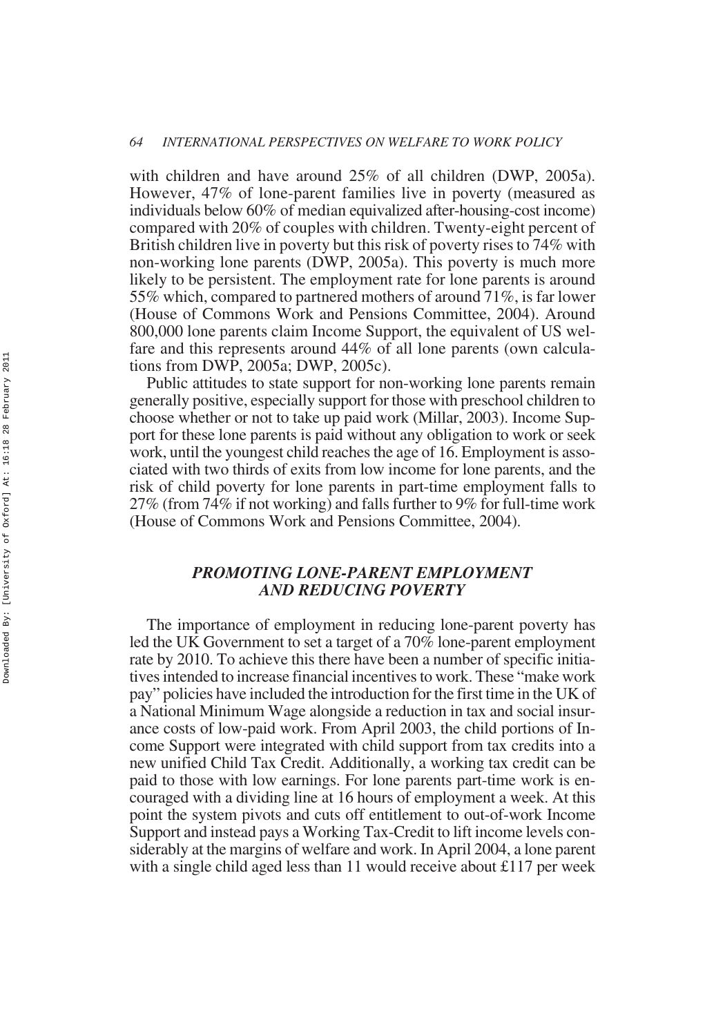#### *64 INTERNATIONAL PERSPECTIVES ON WELFARE TO WORK POLICY*

with children and have around 25% of all children (DWP, 2005a). However, 47% of lone-parent families live in poverty (measured as individuals below 60% of median equivalized after-housing-cost income) compared with 20% of couples with children. Twenty-eight percent of British children live in poverty but this risk of poverty rises to 74% with non-working lone parents (DWP, 2005a). This poverty is much more likely to be persistent. The employment rate for lone parents is around 55% which, compared to partnered mothers of around 71%, is far lower (House of Commons Work and Pensions Committee, 2004). Around 800,000 lone parents claim Income Support, the equivalent of US wel fare and this represents around 44% of all lone parents (own calculations from DWP, 2005a; DWP, 2005c).

Public attitudes to state support for non-working lone parents remain generally positive, especially support for those with preschool children to choose whether or not to take up paid work (Millar, 2003). Income Support for these lone parents is paid without any obligation to work or seek work, until the youngest child reaches the age of 16. Employment is associated with two thirds of exits from low income for lone parents, and the risk of child poverty for lone parents in part-time employment falls to 27% (from 74% if not working) and falls further to 9% for full-time work (House of Commons Work and Pensions Committee, 2004).

## *PROMOTING LONE-PARENT EMPLOYMENT AND REDUCING POVERTY*

The importance of employment in reducing lone-parent poverty has led the UK Government to set a target of a 70% lone-parent employment rate by 2010. To achieve this there have been a number of specific initia tives intended to increase financial incentives to work. These "make work pay" policies have included the introduction for the first time in the UK of a National Minimum Wage alongside a reduction in tax and social insur ance costs of low-paid work. From April 2003, the child portions of In come Support were integrated with child support from tax credits into a new unified Child Tax Credit. Additionally, a working tax credit can be paid to those with low earnings. For lone parents part-time work is en couraged with a dividing line at 16 hours of employment a week. At this point the system pivots and cuts off entitlement to out-of-work Income Support and instead pays a Working Tax-Credit to lift income levels con siderably at the margins of welfare and work. In April 2004, a lone parent with a single child aged less than 11 would receive about £117 per week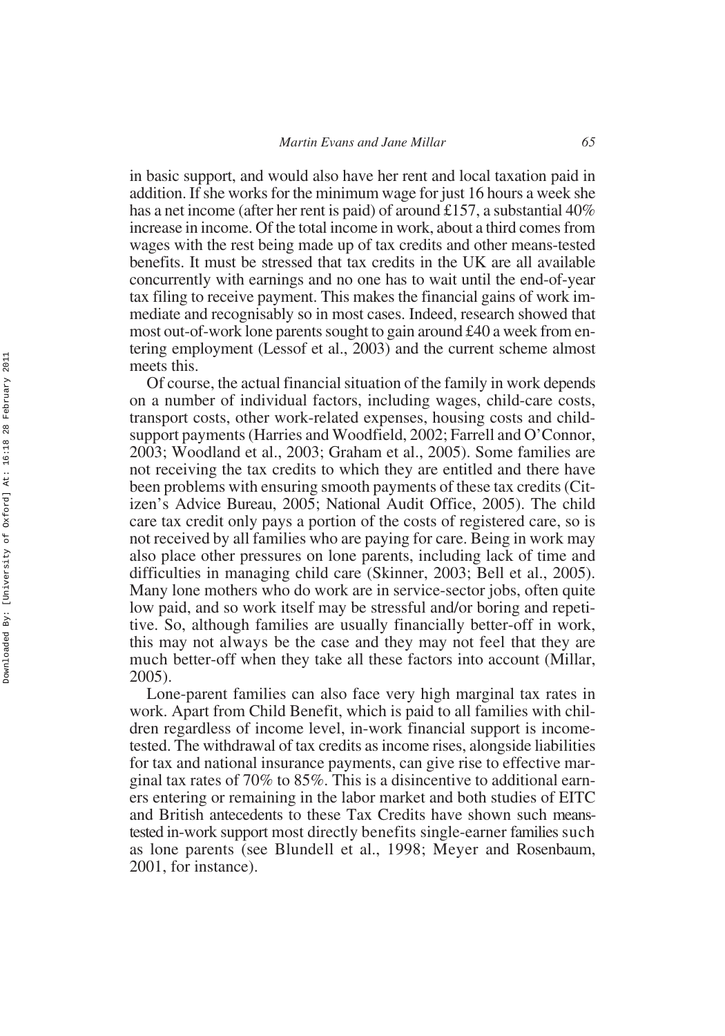in basic support, and would also have her rent and local taxation paid in addition. If she works for the minimum wage for just 16 hours a week she has a net income (after her rent is paid) of around £157, a substantial 40% increase in income. Of the total income in work, about a third comes from wages with the rest being made up of tax credits and other means-tested benefits. It must be stressed that tax credits in the UK are all available concurrently with earnings and no one has to wait until the end-of-year tax filing to receive payment. This makes the financial gains of work im mediate and recognisably so in most cases. Indeed, research showed that most out-of-work lone parents sought to gain around £40 a week from en tering employment (Lessof et al., 2003) and the current scheme almost meets this.

Of course, the actual financial situation of the family in work depends on a number of individual factors, including wages, child-care costs, transport costs, other work-related expenses, housing costs and childsupport payments (Harries and Woodfield, 2002; Farrell and O'Connor, 2003; Woodland et al., 2003; Graham et al., 2005). Some families are not receiving the tax credits to which they are entitled and there have been problems with ensuring smooth payments of these tax credits (Citizen's Advice Bureau, 2005; National Audit Office, 2005). The child care tax credit only pays a portion of the costs of registered care, so is not received by all families who are paying for care. Being in work may also place other pressures on lone parents, including lack of time and difficulties in managing child care (Skinner, 2003; Bell et al., 2005). Many lone mothers who do work are in service-sector jobs, often quite low paid, and so work itself may be stressful and/or boring and repetitive. So, although families are usually financially better-off in work, this may not always be the case and they may not feel that they are much better-off when they take all these factors into account (Millar, 2005).

Lone-parent families can also face very high marginal tax rates in work. Apart from Child Benefit, which is paid to all families with chil dren regardless of income level, in-work financial support is incometested. The withdrawal of tax credits as income rises, alongside liabilities for tax and national insurance payments, can give rise to effective mar ginal tax rates of 70% to 85%. This is a disincentive to additional earn ers entering or remaining in the labor market and both studies of EITC and British antecedents to these Tax Credits have shown such meanstested in-work support most directly benefits single-earner families such as lone parents (see Blundell et al., 1998; Meyer and Rosenbaum, 2001, for instance).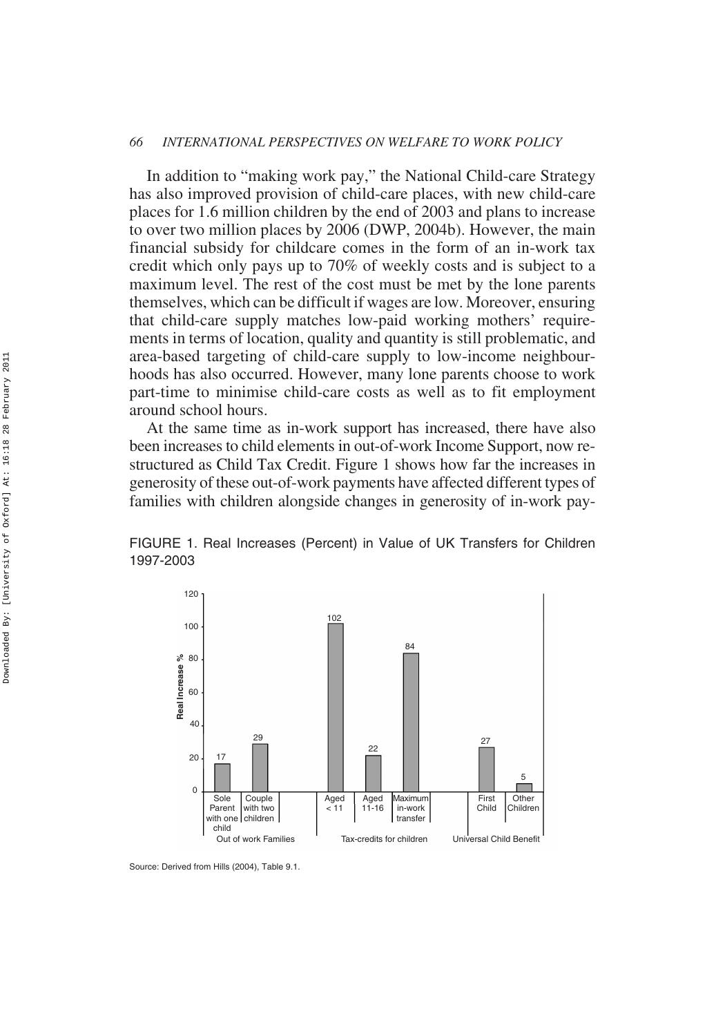#### *66 INTERNATIONAL PERSPECTIVES ON WELFARE TO WORK POLICY*

In addition to "making work pay," the National Child-care Strategy has also improved provision of child-care places, with new child-care places for 1.6 million children by the end of 2003 and plans to increase to over two million places by 2006 (DWP, 2004b). However, the main financial subsidy for childcare comes in the form of an in-work tax credit which only pays up to 70% of weekly costs and is subject to a maximum level. The rest of the cost must be met by the lone parents themselves, which can be difficult if wages are low. Moreover, ensuring that child-care supply matches low-paid working mothers' require ments in terms of location, quality and quantity is still problematic, and area-based targeting of child-care supply to low-income neighbour hoods has also occurred. However, many lone parents choose to work part-time to minimise child-care costs as well as to fit employment around school hours.

At the same time as in-work support has increased, there have also been increases to child elements in out-of-work Income Support, now restructured as Child Tax Credit. Figure 1 shows how far the increases in generosity of these out-of-work payments have affected different types of families with children alongside changes in generosity of in-work pay-

FIGURE 1. Real Increases (Percent) in Value of UK Transfers for Children 1997-2003



Source: Derived from Hills (2004), Table 9.1.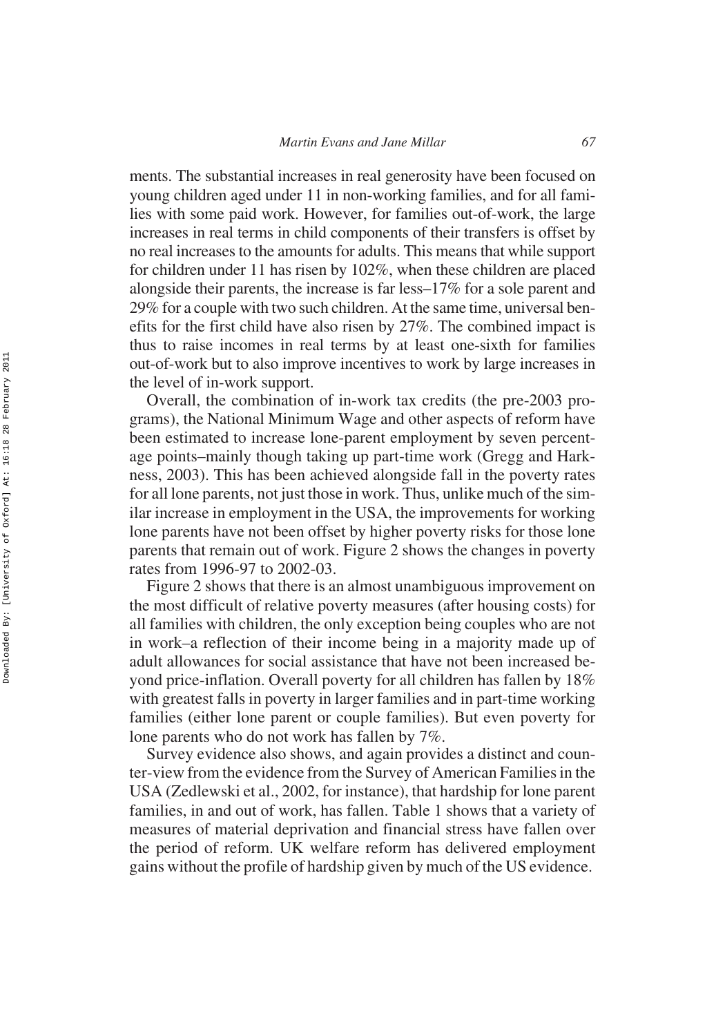ments. The substantial increases in real generosity have been focused on young children aged under 11 in non-working families, and for all fami lies with some paid work. However, for families out-of-work, the large increases in real terms in child components of their transfers is offset by no real increases to the amounts for adults. This means that while support for children under 11 has risen by 102%, when these children are placed alongside their parents, the increase is far less–17% for a sole parent and 29% for a couple with two such children. At the same time, universal ben efits for the first child have also risen by 27%. The combined impact is thus to raise incomes in real terms by at least one-sixth for families out-of-work but to also improve incentives to work by large increases in the level of in-work support.

Overall, the combination of in-work tax credits (the pre-2003 pro grams), the National Minimum Wage and other aspects of reform have been estimated to increase lone-parent employment by seven percentage points–mainly though taking up part-time work (Gregg and Harkness, 2003). This has been achieved alongside fall in the poverty rates for all lone parents, not just those in work. Thus, unlike much of the similar increase in employment in the USA, the improvements for working lone parents have not been offset by higher poverty risks for those lone parents that remain out of work. Figure 2 shows the changes in poverty rates from 1996-97 to 2002-03.

Figure 2 shows that there is an almost unambiguous improvement on the most difficult of relative poverty measures (after housing costs) for all families with children, the only exception being couples who are not in work–a reflection of their income being in a majority made up of adult allowances for social assistance that have not been increased be yond price-inflation. Overall poverty for all children has fallen by 18% with greatest falls in poverty in larger families and in part-time working families (either lone parent or couple families). But even poverty for lone parents who do not work has fallen by 7%.

Survey evidence also shows, and again provides a distinct and coun ter-view from the evidence from the Survey of American Families in the USA (Zedlewski et al., 2002, for instance), that hardship for lone parent families, in and out of work, has fallen. Table 1 shows that a variety of measures of material deprivation and financial stress have fallen over the period of reform. UK welfare reform has delivered employment gains without the profile of hardship given by much of the US evidence.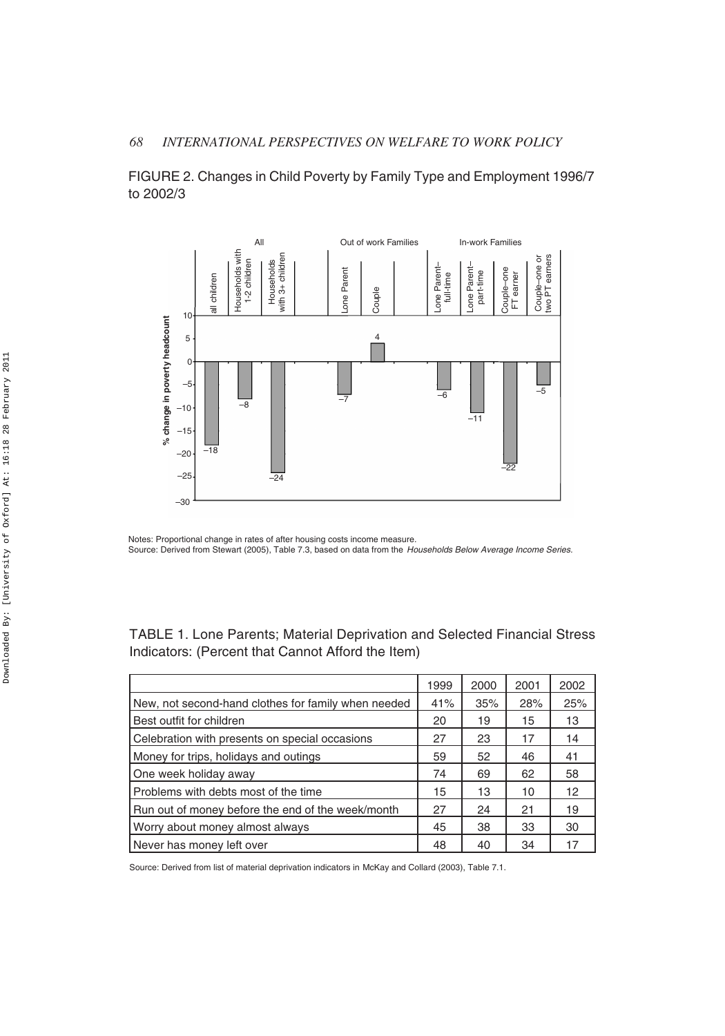### *68 INTERNATIONAL PERSPECTIVES ON WELFARE TO WORK POLICY*

FIGURE 2. Changes in Child Poverty by Family Type and Employment 1996/7 to 2002/3



Notes: Proportional change in rates of after housing costs income measure. Source: Derived from Stewart (2005), Table 7.3, based on data from the Households Below Average Income Series.

TABLE 1. Lone Parents; Material Deprivation and Selected Financial Stress Indicators: (Percent that Cannot Afford the Item)

|                                                     | 1999 | 2000 | 2001 | 2002 |
|-----------------------------------------------------|------|------|------|------|
| New, not second-hand clothes for family when needed | 41%  | 35%  | 28%  | 25%  |
| Best outfit for children                            | 20   | 19   | 15   | 13   |
| Celebration with presents on special occasions      | 27   | 23   | 17   | 14   |
| Money for trips, holidays and outings               | 59   | 52   | 46   | 41   |
| One week holiday away                               | 74   | 69   | 62   | 58   |
| Problems with debts most of the time                | 15   | 13   | 10   | 12   |
| Run out of money before the end of the week/month   | 27   | 24   | 21   | 19   |
| Worry about money almost always                     | 45   | 38   | 33   | 30   |
| Never has money left over                           | 48   | 40   | 34   | 17   |

Source: Derived from list of material deprivation indicators in McKay and Collard (2003), Table 7.1.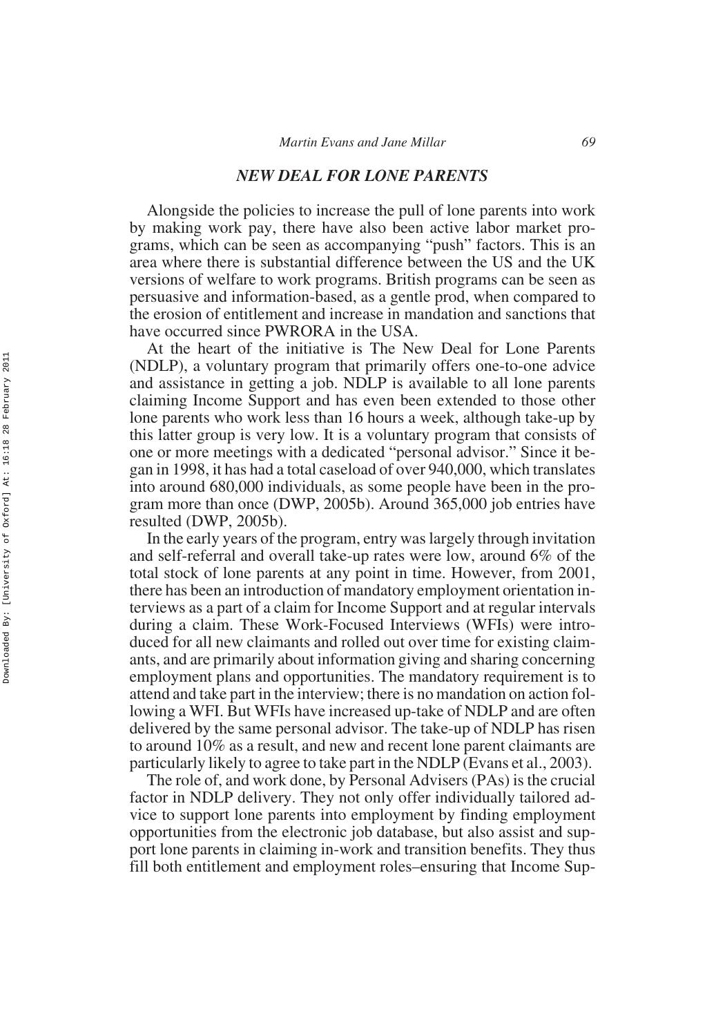#### *NEW DEAL FOR LONE PARENTS*

Alongside the policies to increase the pull of lone parents into work by making work pay, there have also been active labor market pro grams, which can be seen as accompanying "push" factors. This is an area where there is substantial difference between the US and the UK versions of welfare to work programs. British programs can be seen as persuasive and information-based, as a gentle prod, when compared to the erosion of entitlement and increase in mandation and sanctions that have occurred since PWRORA in the USA.

At the heart of the initiative is The New Deal for Lone Parents (NDLP), a voluntary program that primarily offers one-to-one advice and assistance in getting a job. NDLP is available to all lone parents claiming Income Support and has even been extended to those other lone parents who work less than 16 hours a week, although take-up by this latter group is very low. It is a voluntary program that consists of one or more meetings with a dedicated "personal advisor." Since it began in 1998, it has had a total caseload of over 940,000, which translates into around 680,000 individuals, as some people have been in the program more than once (DWP, 2005b). Around 365,000 job entries have resulted (DWP, 2005b).

In the early years of the program, entry was largely through invitation and self-referral and overall take-up rates were low, around 6% of the total stock of lone parents at any point in time. However, from 2001, there has been an introduction of mandatory employment orientation interviews as a part of a claim for Income Support and at regular intervals during a claim. These Work-Focused Interviews (WFIs) were intro duced for all new claimants and rolled out over time for existing claim ants, and are primarily about information giving and sharing concerning employment plans and opportunities. The mandatory requirement is to attend and take part in the interview; there is no mandation on action fol lowing a WFI. But WFIs have increased up-take of NDLP and are often delivered by the same personal advisor. The take-up of NDLP has risen to around 10% as a result, and new and recent lone parent claimants are particularly likely to agree to take part in the NDLP (Evans et al., 2003).

The role of, and work done, by Personal Advisers (PAs) is the crucial factor in NDLP delivery. They not only offer individually tailored ad vice to support lone parents into employment by finding employment opportunities from the electronic job database, but also assist and sup port lone parents in claiming in-work and transition benefits. They thus fill both entitlement and employment roles-ensuring that Income Sup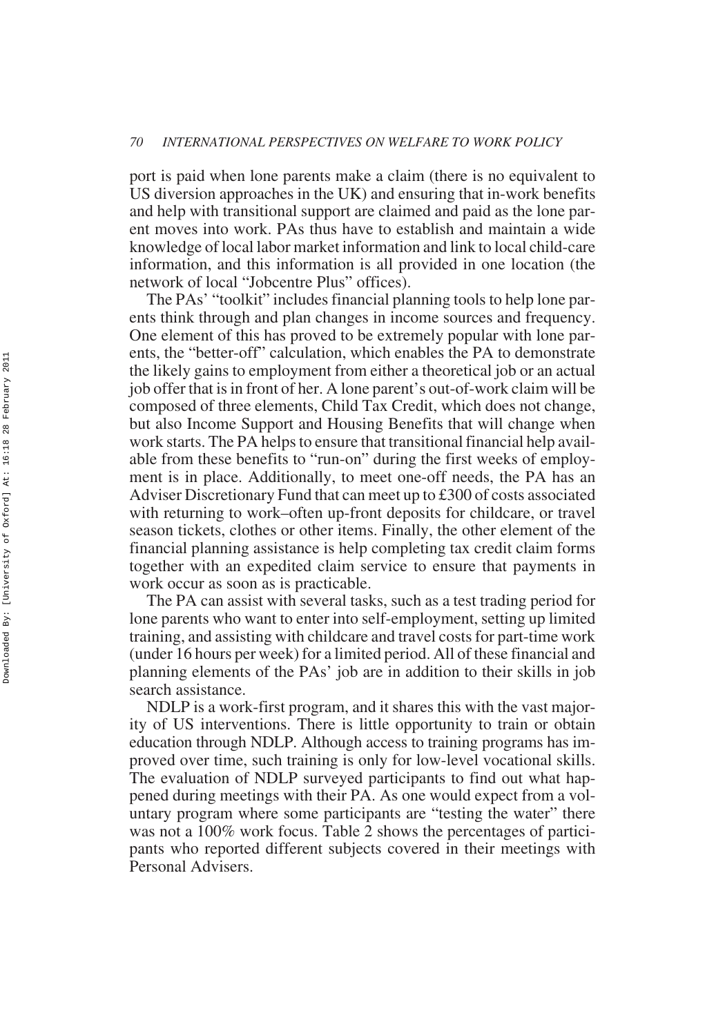port is paid when lone parents make a claim (there is no equivalent to US diversion approaches in the UK) and ensuring that in-work benefits and help with transitional support are claimed and paid as the lone par ent moves into work. PAs thus have to establish and maintain a wide knowledge of local labor market information and link to local child-care information, and this information is all provided in one location (the network of local "Jobcentre Plus" offices).

The PAs' "toolkit" includes financial planning tools to help lone par ents think through and plan changes in income sources and frequency. One element of this has proved to be extremely popular with lone par ents, the "better-off" calculation, which enables the PA to demonstrate the likely gains to employment from either a theoretical job or an actual job offer that is in front of her. A lone parent's out-of-work claim will be composed of three elements, Child Tax Credit, which does not change, but also Income Support and Housing Benefits that will change when work starts. The PA helps to ensure that transitional financial help available from these benefits to "run-on" during the first weeks of employment is in place. Additionally, to meet one-off needs, the PA has an Adviser Discretionary Fund that can meet up to £300 of costs associated with returning to work–often up-front deposits for childcare, or travel season tickets, clothes or other items. Finally, the other element of the financial planning assistance is help completing tax credit claim forms together with an expedited claim service to ensure that payments in work occur as soon as is practicable.

The PA can assist with several tasks, such as a test trading period for lone parents who want to enter into self-employment, setting up limited training, and assisting with childcare and travel costs for part-time work (under 16 hours per week) for a limited period. All of these financial and planning elements of the PAs' job are in addition to their skills in job search assistance.

NDLP is a work-first program, and it shares this with the vast major ity of US interventions. There is little opportunity to train or obtain education through NDLP. Although access to training programs has improved over time, such training is only for low-level vocational skills. The evaluation of NDLP surveyed participants to find out what happened during meetings with their PA. As one would expect from a vol untary program where some participants are "testing the water" there was not a 100% work focus. Table 2 shows the percentages of partici pants who reported different subjects covered in their meetings with Personal Advisers.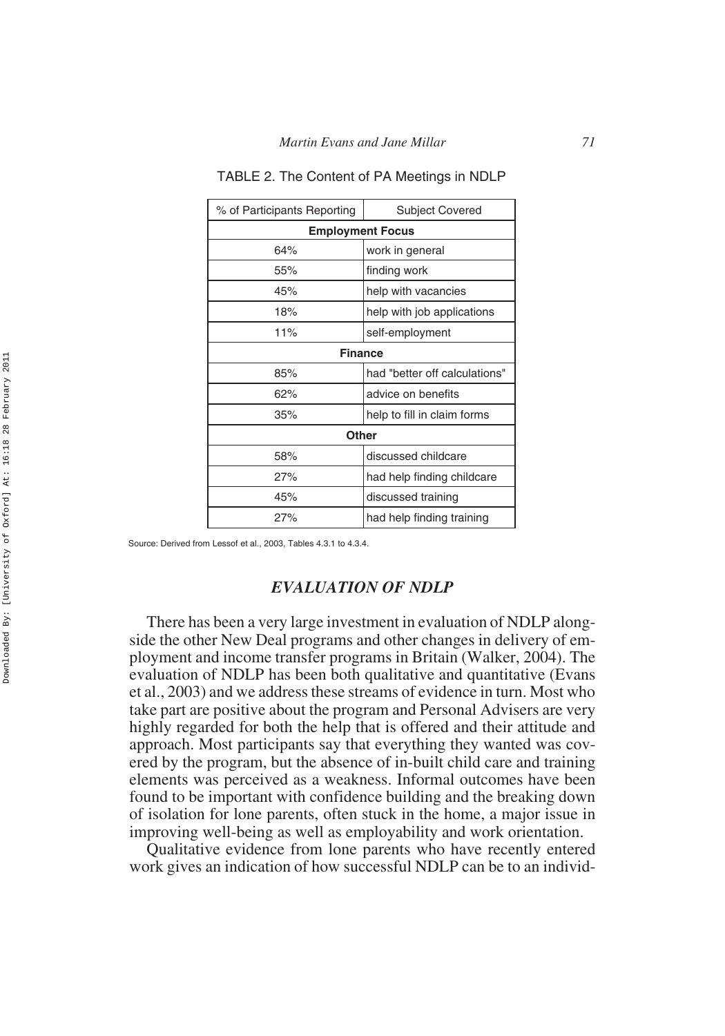| % of Participants Reporting | <b>Subject Covered</b>        |  |  |
|-----------------------------|-------------------------------|--|--|
| <b>Employment Focus</b>     |                               |  |  |
| 64%                         | work in general               |  |  |
| 55%                         | finding work                  |  |  |
| 45%                         | help with vacancies           |  |  |
| 18%                         | help with job applications    |  |  |
| 11%                         | self-employment               |  |  |
| <b>Finance</b>              |                               |  |  |
| 85%                         | had "better off calculations" |  |  |
| 62%                         | advice on benefits            |  |  |
| 35%                         | help to fill in claim forms   |  |  |
| Other                       |                               |  |  |
| 58%                         | discussed childcare           |  |  |
| 27%                         | had help finding childcare    |  |  |
| 45%                         | discussed training            |  |  |
| 27%                         | had help finding training     |  |  |

#### TABLE 2. The Content of PA Meetings in NDLP

Source: Derived from Lessof et al., 2003, Tables 4.3.1 to 4.3.4.

## *EVALUATION OF NDLP*

There has been a very large investment in evaluation of NDLP along side the other New Deal programs and other changes in delivery of em ployment and income transfer programs in Britain (Walker, 2004). The evaluation of NDLP has been both qualitative and quantitative (Evans et al., 2003) and we address these streams of evidence in turn. Most who take part are positive about the program and Personal Advisers are very highly regarded for both the help that is offered and their attitude and approach. Most participants say that everything they wanted was cov ered by the program, but the absence of in-built child care and training elements was perceived as a weakness. Informal outcomes have been found to be important with confidence building and the breaking down of isolation for lone parents, often stuck in the home, a major issue in improving well-being as well as employability and work orientation.

Qualitative evidence from lone parents who have recently entered work gives an indication of how successful NDLP can be to an individ -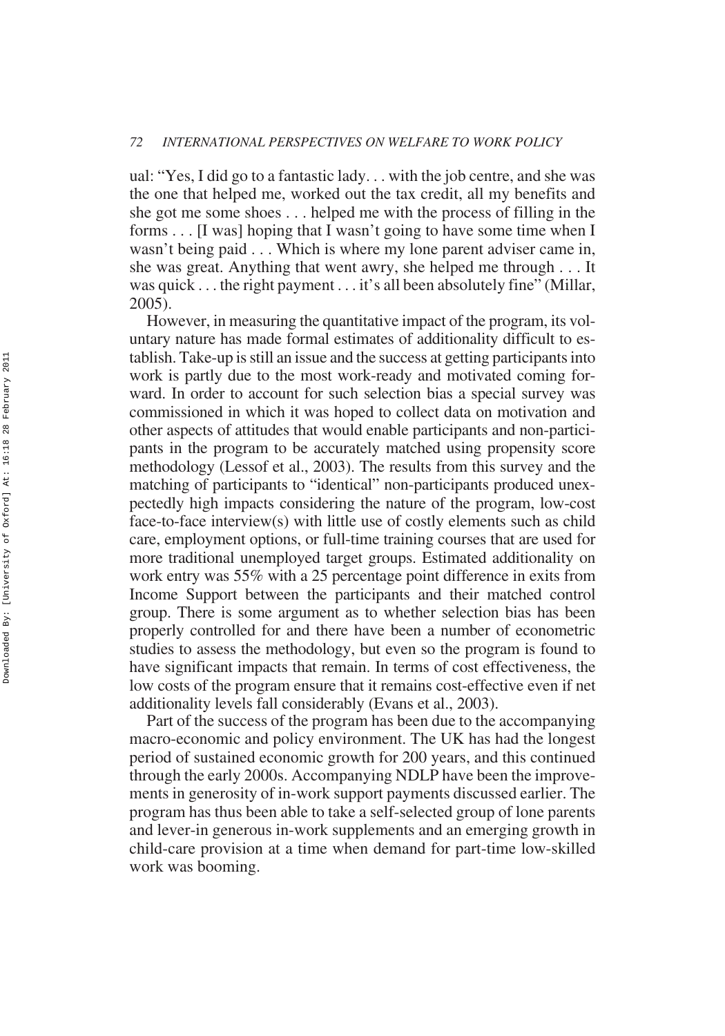ual: "Yes, I did go to a fantastic lady. . . with the job centre, and she was the one that helped me, worked out the tax credit, all my benefits and she got me some shoes . . . helped me with the process of filling in the forms . . . [I was] hoping that I wasn't going to have some time when I wasn't being paid . . . Which is where my lone parent adviser came in, she was great. Anything that went awry, she helped me through . . . It was quick . . . the right payment . . . it's all been absolutely fine" (Millar, 2005).

However, in measuring the quantitative impact of the program, its vol untary nature has made formal estimates of additionality difficult to es tablish. Take-up is still an issue and the success at getting participants into work is partly due to the most work-ready and motivated coming for ward. In order to account for such selection bias a special survey was commissioned in which it was hoped to collect data on motivation and other aspects of attitudes that would enable participants and non-participants in the program to be accurately matched using propensity score methodology (Lessof et al., 2003). The results from this survey and the matching of participants to "identical" non-participants produced unexpectedly high impacts considering the nature of the program, low-cost face-to-face interview(s) with little use of costly elements such as child care, employment options, or full-time training courses that are used for more traditional unemployed target groups. Estimated additionality on work entry was 55% with a 25 percentage point difference in exits from Income Support between the participants and their matched control group. There is some argument as to whether selection bias has been properly controlled for and there have been a number of econometric studies to assess the methodology, but even so the program is found to have significant impacts that remain. In terms of cost effectiveness, the low costs of the program ensure that it remains cost-effective even if net additionality levels fall considerably (Evans et al., 2003).

Part of the success of the program has been due to the accompanying macro-economic and policy environment. The UK has had the longest period of sustained economic growth for 200 years, and this continued through the early 2000s. Accompanying NDLP have been the improve ments in generosity of in-work support payments discussed earlier. The program has thus been able to take a self-selected group of lone parents and lever-in generous in-work supplements and an emerging growth in child-care provision at a time when demand for part-time low-skilled work was booming.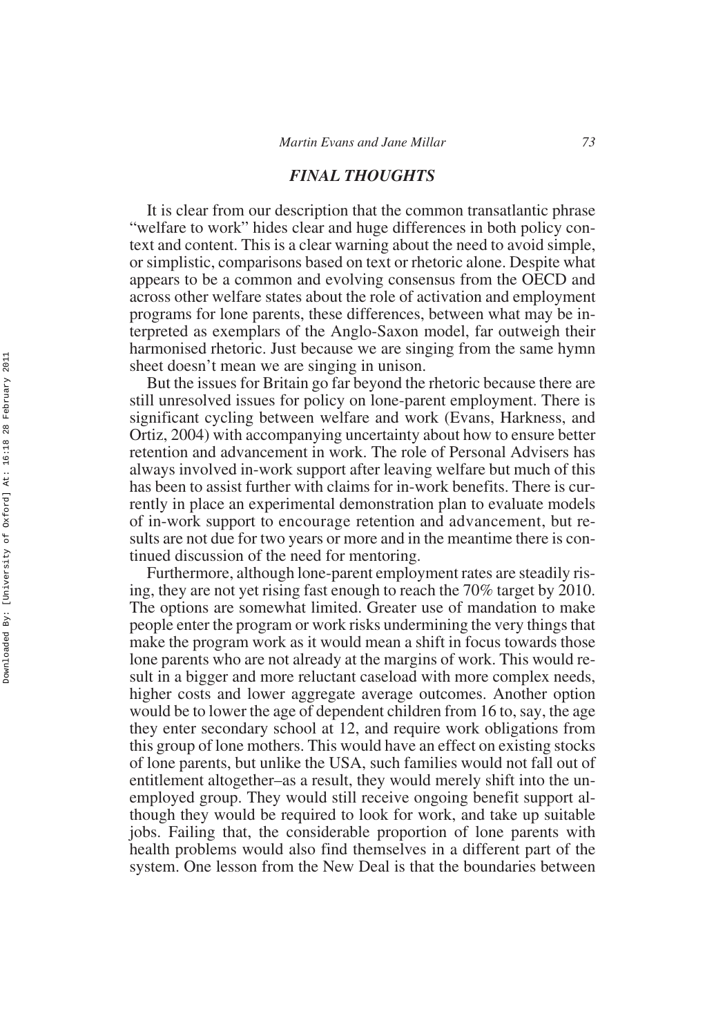## *FINAL THOUGHTS*

It is clear from our description that the common transatlantic phrase "welfare to work" hides clear and huge differences in both policy con text and content. This is a clear warning about the need to avoid simple, or simplistic, comparisons based on text or rhetoric alone. Despite what appears to be a common and evolving consensus from the OECD and across other welfare states about the role of activation and employment programs for lone parents, these differences, between what may be in terpreted as exemplars of the Anglo-Saxon model, far outweigh their harmonised rhetoric. Just because we are singing from the same hymn sheet doesn't mean we are singing in unison.

But the issues for Britain go far beyond the rhetoric because there are still unresolved issues for policy on lone-parent employment. There is significant cycling between welfare and work (Evans, Harkness, and Ortiz, 2004) with accompanying uncertainty about how to ensure better retention and advancement in work. The role of Personal Advisers has always involved in-work support after leaving welfare but much of this has been to assist further with claims for in-work benefits. There is currently in place an experimental demonstration plan to evaluate models of in-work support to encourage retention and advancement, but results are not due for two years or more and in the meantime there is continued discussion of the need for mentoring.

Furthermore, although lone-parent employment rates are steadily rising, they are not yet rising fast enough to reach the 70% target by 2010. The options are somewhat limited. Greater use of mandation to make people enter the program or work risks undermining the very things that make the program work as it would mean a shift in focus towards those lone parents who are not already at the margins of work. This would re sult in a bigger and more reluctant caseload with more complex needs, higher costs and lower aggregate average outcomes. Another option would be to lower the age of dependent children from 16 to, say, the age they enter secondary school at 12, and require work obligations from this group of lone mothers. This would have an effect on existing stocks of lone parents, but unlike the USA, such families would not fall out of entitlement altogether–as a result, they would merely shift into the un employed group. They would still receive ongoing benefit support al though they would be required to look for work, and take up suitable jobs. Failing that, the considerable proportion of lone parents with health problems would also find themselves in a different part of the system. One lesson from the New Deal is that the boundaries between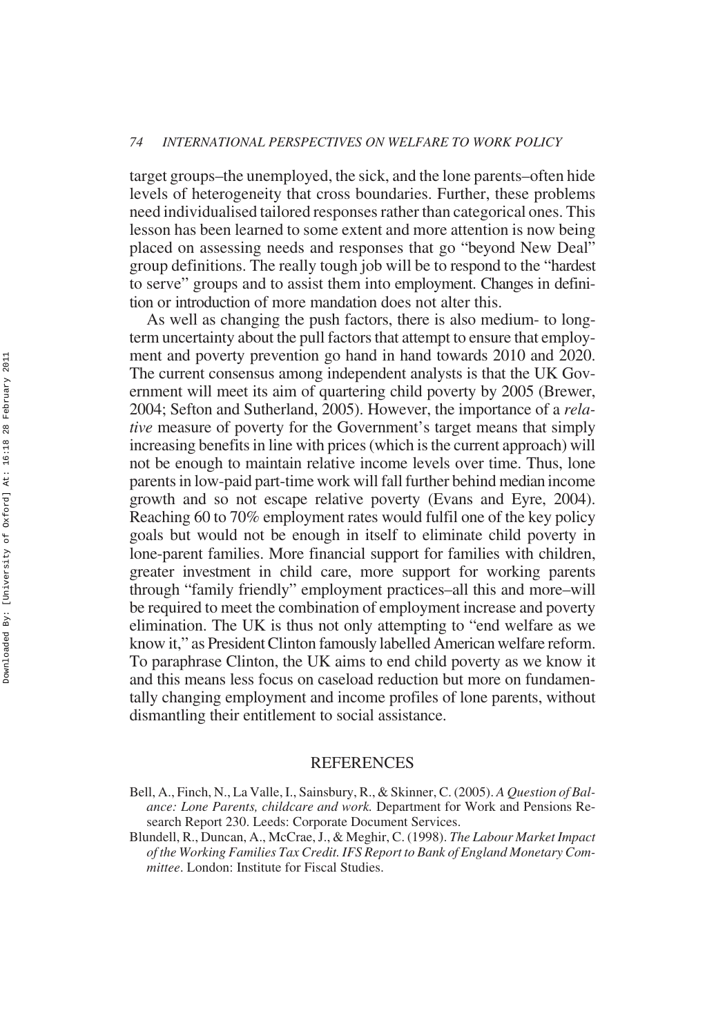target groups–the unemployed, the sick, and the lone parents–often hide levels of heterogeneity that cross boundaries. Further, these problems need individualised tailored responses rather than categorical ones. This lesson has been learned to some extent and more attention is now being placed on assessing needs and responses that go "beyond New Deal" group definitions. The really tough job will be to respond to the "hardest to serve" groups and to assist them into employment. Changes in defini tion or introduction of more mandation does not alter this.

As well as changing the push factors, there is also medium- to longterm uncertainty about the pull factors that attempt to ensure that employment and poverty prevention go hand in hand towards 2010 and 2020. The current consensus among independent analysts is that the UK Government will meet its aim of quartering child poverty by 2005 (Brewer, 2004; Sefton and Sutherland, 2005). However, the importance of a *relative* measure of poverty for the Government's target means that simply increasing benefits in line with prices (which is the current approach) will not be enough to maintain relative income levels over time. Thus, lone parents in low-paid part-time work will fall further behind median income growth and so not escape relative poverty (Evans and Eyre, 2004). Reaching 60 to 70% employment rates would fulfil one of the key policy goals but would not be enough in itself to eliminate child poverty in lone-parent families. More financial support for families with children, greater investment in child care, more support for working parents through "family friendly" employment practices–all this and more–will be required to meet the combination of employment increase and poverty elimination. The UK is thus not only attempting to "end welfare as we know it," as President Clinton famously labelled American welfare reform. To paraphrase Clinton, the UK aims to end child poverty as we know it and this means less focus on caseload reduction but more on fundamen tally changing employment and income profiles of lone parents, without dismantling their entitlement to social assistance.

#### REFERENCES

- Bell, A., Finch, N., La Valle, I., Sainsbury, R., & Skinner, C. (2005). *A Question of Bal ance: Lone Parents, childcare and work.* Department for Work and Pensions Re search Report 230. Leeds: Corporate Document Services.
- Blundell, R., Duncan, A., McCrae, J., & Meghir, C. (1998). *The Labour Market Impact of the Working Families Tax Credit. IFS Report to Bank of England Monetary Com mittee*. London: Institute for Fiscal Studies.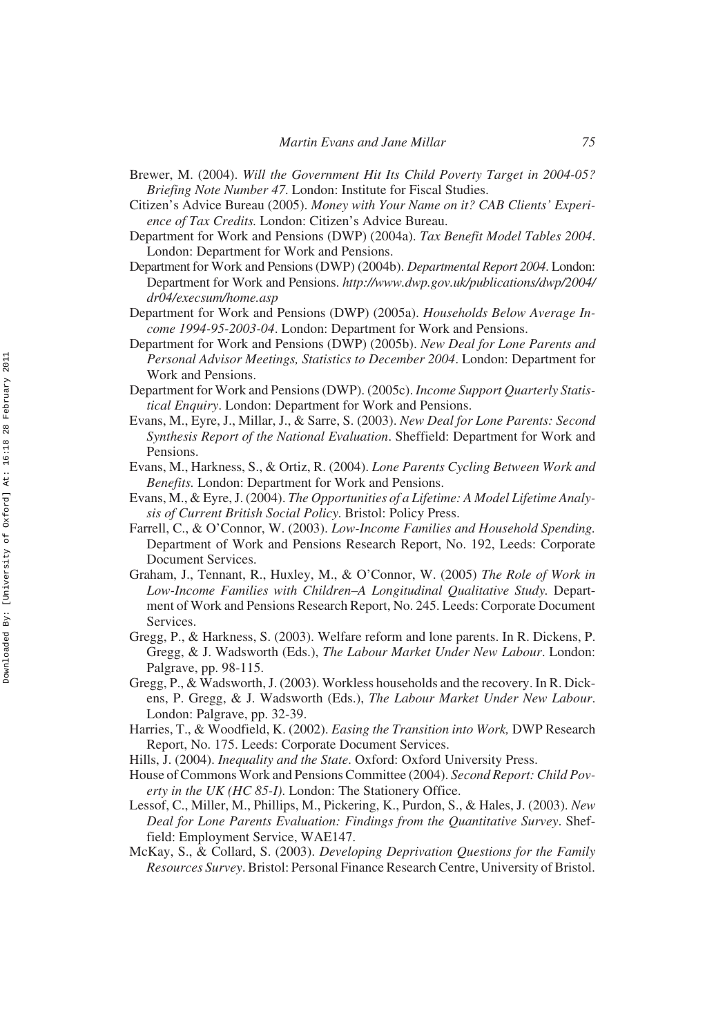- Brewer, M. (2004). *Will the Government Hit Its Child Poverty Target in 2004-05? Briefing Note Number 47*. London: Institute for Fiscal Studies.
- Citizen's Advice Bureau (2005). *Money with Your Name on it? CAB Clients' Experi ence of Tax Credits.* London: Citizen's Advice Bureau.
- Department for Work and Pensions (DWP) (2004a). *Tax Benefit Model Tables 2004* . London: Department for Work and Pensions.
- Department for Work and Pensions (DWP) (2004b). *Departmental Report 2004*. London: Department for Work and Pensions. *http://www.dwp.gov.uk/publications/dwp/2004/ dr04/execsum/home.asp*
- Department for Work and Pensions (DWP) (2005a). *Households Below Average In come 1994-95-2003-04*. London: Department for Work and Pensions.
- Department for Work and Pensions (DWP) (2005b). *New Deal for Lone Parents and Personal Advisor Meetings, Statistics to December 2004*. London: Department for Work and Pensions.
- Department for Work and Pensions (DWP). (2005c). *Income Support Quarterly Statis tical Enquiry*. London: Department for Work and Pensions.
- Evans, M., Eyre, J., Millar, J., & Sarre, S. (2003). *New Deal for Lone Parents: Second Synthesis Report of the National Evaluation*. Sheffield: Department for Work and Pensions.
- Evans, M., Harkness, S., & Ortiz, R. (2004). *Lone Parents Cycling Between Work and Benefits.* London: Department for Work and Pensions.
- Evans, M., & Eyre, J. (2004). *The Opportunities of a Lifetime: A Model Lifetime Analysis of Current British Social Policy*. Bristol: Policy Press.
- Farrell, C., & O'Connor, W. (2003). *Low-Income Families and Household Spending.* Department of Work and Pensions Research Report, No. 192, Leeds: Corporate Document Services.
- Graham, J., Tennant, R., Huxley, M., & O'Connor, W. (2005) *The Role of Work in Low-Income Families with Children–A Longitudinal Qualitative Study.* Department of Work and Pensions Research Report, No. 245. Leeds: Corporate Document Services.
- Gregg, P., & Harkness, S. (2003). Welfare reform and lone parents. In R. Dickens, P. Gregg, & J. Wadsworth (Eds.), *The Labour Market Under New Labour*. London: Palgrave, pp. 98-115.
- Gregg, P., & Wadsworth, J. (2003). Workless households and the recovery. In R. Dick ens, P. Gregg, & J. Wadsworth (Eds.), *The Labour Market Under New Labour* . London: Palgrave, pp. 32-39.
- Harries, T., & Woodfield, K. (2002). *Easing the Transition into Work,* DWP Research Report, No. 175. Leeds: Corporate Document Services.
- Hills, J. (2004). *Inequality and the State*. Oxford: Oxford University Press.
- House of Commons Work and Pensions Committee (2004). *Second Report: Child Pov erty in the UK (HC 85-I)*. London: The Stationery Office.
- Lessof, C., Miller, M., Phillips, M., Pickering, K., Purdon, S., & Hales, J. (2003). *New Deal for Lone Parents Evaluation: Findings from the Quantitative Survey*. Sheffield: Employment Service, WAE147.
- McKay, S., & Collard, S. (2003). *Developing Deprivation Questions for the Family Resources Survey*. Bristol: Personal Finance Research Centre, University of Bristol.